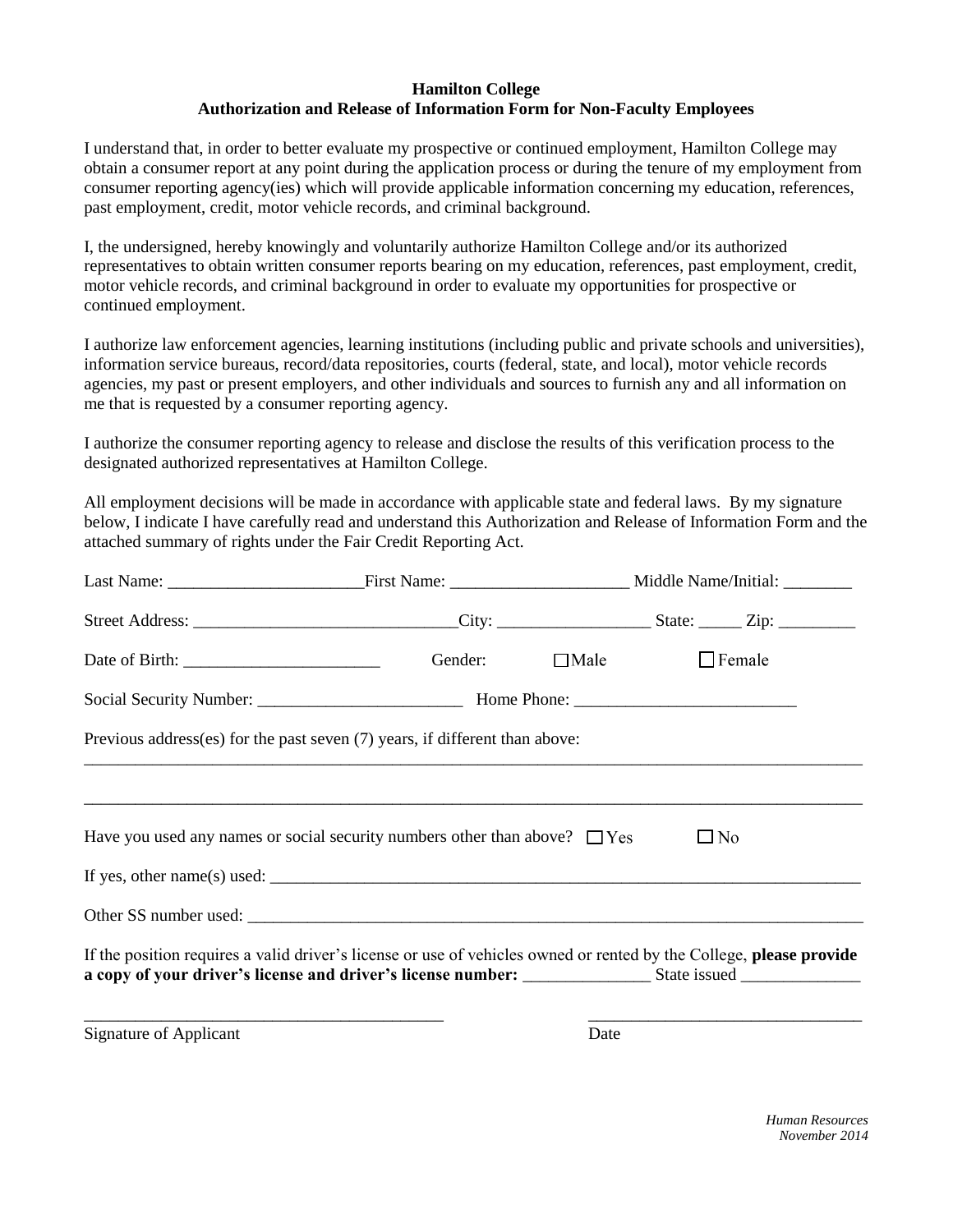## **Hamilton College Authorization and Release of Information Form for Non-Faculty Employees**

I understand that, in order to better evaluate my prospective or continued employment, Hamilton College may obtain a consumer report at any point during the application process or during the tenure of my employment from consumer reporting agency(ies) which will provide applicable information concerning my education, references, past employment, credit, motor vehicle records, and criminal background.

I, the undersigned, hereby knowingly and voluntarily authorize Hamilton College and/or its authorized representatives to obtain written consumer reports bearing on my education, references, past employment, credit, motor vehicle records, and criminal background in order to evaluate my opportunities for prospective or continued employment.

I authorize law enforcement agencies, learning institutions (including public and private schools and universities), information service bureaus, record/data repositories, courts (federal, state, and local), motor vehicle records agencies, my past or present employers, and other individuals and sources to furnish any and all information on me that is requested by a consumer reporting agency.

I authorize the consumer reporting agency to release and disclose the results of this verification process to the designated authorized representatives at Hamilton College.

All employment decisions will be made in accordance with applicable state and federal laws. By my signature below, I indicate I have carefully read and understand this Authorization and Release of Information Form and the attached summary of rights under the Fair Credit Reporting Act.

|                               | Gender: □Male                                                                                                                                                                                                                                                                         |      | $\Box$ Female |  |
|-------------------------------|---------------------------------------------------------------------------------------------------------------------------------------------------------------------------------------------------------------------------------------------------------------------------------------|------|---------------|--|
|                               |                                                                                                                                                                                                                                                                                       |      |               |  |
|                               | Previous address(es) for the past seven (7) years, if different than above:                                                                                                                                                                                                           |      |               |  |
|                               |                                                                                                                                                                                                                                                                                       |      |               |  |
|                               | Have you used any names or social security numbers other than above? $\Box$ Yes                                                                                                                                                                                                       |      | $\Box$ No     |  |
|                               | If yes, other name(s) used: $\frac{1}{2}$ and $\frac{1}{2}$ and $\frac{1}{2}$ and $\frac{1}{2}$ and $\frac{1}{2}$ and $\frac{1}{2}$ and $\frac{1}{2}$ and $\frac{1}{2}$ and $\frac{1}{2}$ and $\frac{1}{2}$ and $\frac{1}{2}$ and $\frac{1}{2}$ and $\frac{1}{2}$ and $\frac{1}{2}$ a |      |               |  |
|                               |                                                                                                                                                                                                                                                                                       |      |               |  |
|                               | If the position requires a valid driver's license or use of vehicles owned or rented by the College, please provide                                                                                                                                                                   |      |               |  |
| <b>Signature of Applicant</b> |                                                                                                                                                                                                                                                                                       | Date |               |  |